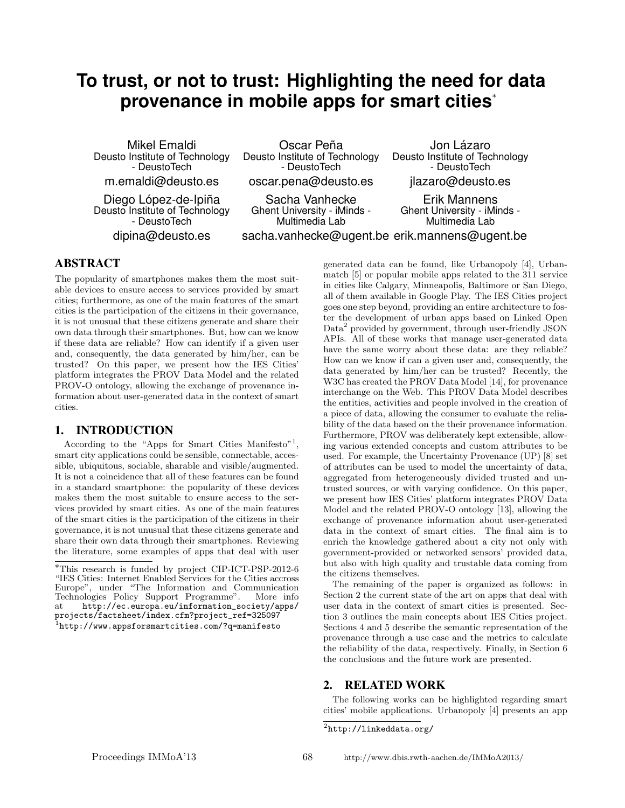# **To trust, or not to trust: Highlighting the need for data provenance in mobile apps for smart cities**<sup>∗</sup>

Mikel Emaldi Deusto Institute of Technology - DeustoTech m.emaldi@deusto.es

Oscar Peña Deusto Institute of Technology - DeustoTech oscar.pena@deusto.es

Sacha Vanhecke Ghent University - iMinds - Multimedia Lab

Diego López-de-Ipiña Deusto Institute of Technology - DeustoTech dipina@deusto.es

Deusto Institute of Technology - DeustoTech jlazaro@deusto.es Erik Mannens

sacha.vanhecke@ugent.be erik.mannens@ugent.be Ghent University - iMinds - Multimedia Lab

Jon Lázaro

ABSTRACT

The popularity of smartphones makes them the most suitable devices to ensure access to services provided by smart cities; furthermore, as one of the main features of the smart cities is the participation of the citizens in their governance, it is not unusual that these citizens generate and share their own data through their smartphones. But, how can we know if these data are reliable? How can identify if a given user and, consequently, the data generated by him/her, can be trusted? On this paper, we present how the IES Cities' platform integrates the PROV Data Model and the related PROV-O ontology, allowing the exchange of provenance information about user-generated data in the context of smart cities.

### 1. INTRODUCTION

According to the "Apps for Smart Cities Manifesto"<sup>1</sup>, smart city applications could be sensible, connectable, accessible, ubiquitous, sociable, sharable and visible/augmented. It is not a coincidence that all of these features can be found in a standard smartphone: the popularity of these devices makes them the most suitable to ensure access to the services provided by smart cities. As one of the main features of the smart cities is the participation of the citizens in their governance, it is not unusual that these citizens generate and share their own data through their smartphones. Reviewing the literature, some examples of apps that deal with user

generated data can be found, like Urbanopoly [4], Urbanmatch [5] or popular mobile apps related to the 311 service in cities like Calgary, Minneapolis, Baltimore or San Diego, all of them available in Google Play. The IES Cities project goes one step beyond, providing an entire architecture to foster the development of urban apps based on Linked Open Data<sup>2</sup> provided by government, through user-friendly JSON APIs. All of these works that manage user-generated data have the same worry about these data: are they reliable? How can we know if can a given user and, consequently, the data generated by him/her can be trusted? Recently, the W3C has created the PROV Data Model [14], for provenance interchange on the Web. This PROV Data Model describes the entities, activities and people involved in the creation of a piece of data, allowing the consumer to evaluate the reliability of the data based on the their provenance information. Furthermore, PROV was deliberately kept extensible, allowing various extended concepts and custom attributes to be used. For example, the Uncertainty Provenance (UP) [8] set of attributes can be used to model the uncertainty of data, aggregated from heterogeneously divided trusted and untrusted sources, or with varying confidence. On this paper, we present how IES Cities' platform integrates PROV Data Model and the related PROV-O ontology [13], allowing the exchange of provenance information about user-generated data in the context of smart cities. The final aim is to enrich the knowledge gathered about a city not only with government-provided or networked sensors' provided data, but also with high quality and trustable data coming from the citizens themselves.

The remaining of the paper is organized as follows: in Section 2 the current state of the art on apps that deal with user data in the context of smart cities is presented. Section 3 outlines the main concepts about IES Cities project. Sections 4 and 5 describe the semantic representation of the provenance through a use case and the metrics to calculate the reliability of the data, respectively. Finally, in Section 6 the conclusions and the future work are presented.

## 2. RELATED WORK

The following works can be highlighted regarding smart cities' mobile applications. Urbanopoly [4] presents an app

<sup>∗</sup>This research is funded by project CIP-ICT-PSP-2012-6 "IES Cities: Internet Enabled Services for the Cities accross Europe", under "The Information and Communication Technologies Policy Support Programme". at http://ec.europa.eu/information\_society/apps/ projects/factsheet/index.cfm?project\_ref=325097  $^{1}$ http://www.appsforsmartcities.com/?q=manifesto

 $^2$ http://linkeddata.org/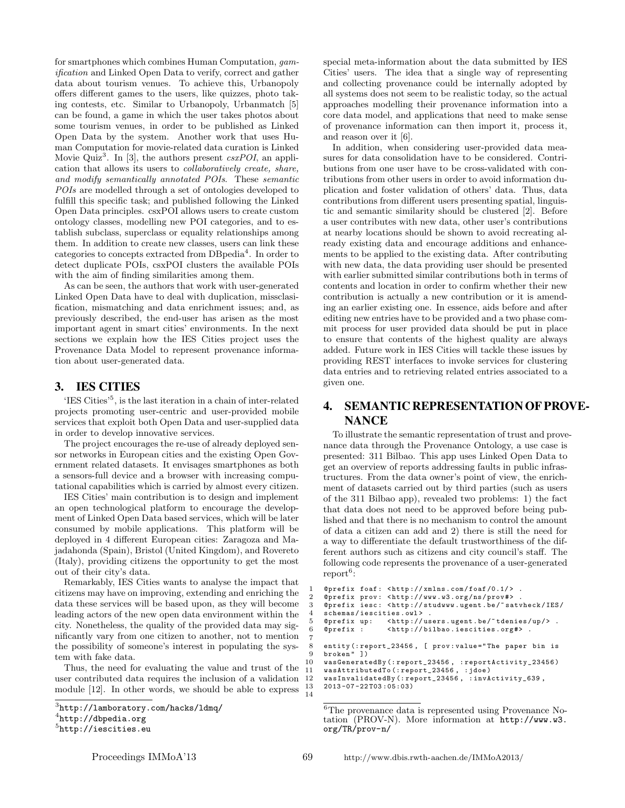for smartphones which combines Human Computation, gamification and Linked Open Data to verify, correct and gather data about tourism venues. To achieve this, Urbanopoly offers different games to the users, like quizzes, photo taking contests, etc. Similar to Urbanopoly, Urbanmatch [5] can be found, a game in which the user takes photos about some tourism venues, in order to be published as Linked Open Data by the system. Another work that uses Human Computation for movie-related data curation is Linked Movie Quiz<sup>3</sup>. In [3], the authors present  $\exp O I$ , an application that allows its users to collaboratively create, share, and modify semantically annotated POIs. These semantic POIs are modelled through a set of ontologies developed to fulfill this specific task; and published following the Linked Open Data principles. csxPOI allows users to create custom ontology classes, modelling new POI categories, and to establish subclass, superclass or equality relationships among them. In addition to create new classes, users can link these categories to concepts extracted from DBpedia<sup>4</sup>. In order to detect duplicate POIs, csxPOI clusters the available POIs with the aim of finding similarities among them.

As can be seen, the authors that work with user-generated Linked Open Data have to deal with duplication, missclasification, mismatching and data enrichment issues; and, as previously described, the end-user has arisen as the most important agent in smart cities' environments. In the next sections we explain how the IES Cities project uses the Provenance Data Model to represent provenance information about user-generated data.

## 3. IES CITIES

'IES Cities'<sup>5</sup> , is the last iteration in a chain of inter-related projects promoting user-centric and user-provided mobile services that exploit both Open Data and user-supplied data in order to develop innovative services.

The project encourages the re-use of already deployed sensor networks in European cities and the existing Open Government related datasets. It envisages smartphones as both a sensors-full device and a browser with increasing computational capabilities which is carried by almost every citizen.

IES Cities' main contribution is to design and implement an open technological platform to encourage the development of Linked Open Data based services, which will be later consumed by mobile applications. This platform will be deployed in 4 different European cities: Zaragoza and Majadahonda (Spain), Bristol (United Kingdom), and Rovereto (Italy), providing citizens the opportunity to get the most out of their city's data.

Remarkably, IES Cities wants to analyse the impact that citizens may have on improving, extending and enriching the data these services will be based upon, as they will become leading actors of the new open data environment within the city. Nonetheless, the quality of the provided data may significantly vary from one citizen to another, not to mention the possibility of someone's interest in populating the system with fake data.

Thus, the need for evaluating the value and trust of the user contributed data requires the inclusion of a validation module [12]. In other words, we should be able to express  $\frac{13}{14}$  special meta-information about the data submitted by IES Cities' users. The idea that a single way of representing and collecting provenance could be internally adopted by all systems does not seem to be realistic today, so the actual approaches modelling their provenance information into a core data model, and applications that need to make sense of provenance information can then import it, process it, and reason over it [6].

In addition, when considering user-provided data measures for data consolidation have to be considered. Contributions from one user have to be cross-validated with contributions from other users in order to avoid information duplication and foster validation of others' data. Thus, data contributions from different users presenting spatial, linguistic and semantic similarity should be clustered [2]. Before a user contributes with new data, other user's contributions at nearby locations should be shown to avoid recreating already existing data and encourage additions and enhancements to be applied to the existing data. After contributing with new data, the data providing user should be presented with earlier submitted similar contributions both in terms of contents and location in order to confirm whether their new contribution is actually a new contribution or it is amending an earlier existing one. In essence, aids before and after editing new entries have to be provided and a two phase commit process for user provided data should be put in place to ensure that contents of the highest quality are always added. Future work in IES Cities will tackle these issues by providing REST interfaces to invoke services for clustering data entries and to retrieving related entries associated to a given one.

## 4. SEMANTIC REPRESENTATION OF PROVE-**NANCE**

To illustrate the semantic representation of trust and provenance data through the Provenance Ontology, a use case is presented: 311 Bilbao. This app uses Linked Open Data to get an overview of reports addressing faults in public infrastructures. From the data owner's point of view, the enrichment of datasets carried out by third parties (such as users of the 311 Bilbao app), revealed two problems: 1) the fact that data does not need to be approved before being published and that there is no mechanism to control the amount of data a citizen can add and 2) there is still the need for a way to differentiate the default trustworthiness of the different authors such as citizens and city council's staff. The following code represents the provenance of a user-generated  $report<sup>6</sup>$ :

```
@prefix\ for\ a\ f\colon \ { \hbox{http://xmlns.com/foaf/0.1/>}}\ .2 @prefix prov: <http://www.w3.org/ns/prov#> .
3 @prefix iesc: <http://studwww.ugent.be/"satvheck/IES/
    schemas/iescities.owl><br>@prefix up: <http://us
                      \langle \texttt{http://users.ugent.be/~tdenies/up/>}.6 @prefix : < http :// bilbao . iescities . org #> .
8 entity (: report_23456, [ prov: value=" The paper bin is<br>9 broken" ])
    broken" ])
10 wasGeneratedBy (: report_23456 , : reportActivity_23456 )
11 wasAttributedTo (: report_23456 , : jdoe )
    12 wasInvalidatedBy (: report_23456 , : invActivity_639 ,
    13 2013 -07 -22 T03 :05:03)
```
7

 $^3$ http://lamboratory.com/hacks/ldmq/

 $^4$ http://dbpedia.org

<sup>5</sup> http://iescities.eu

<sup>6</sup>The provenance data is represented using Provenance Notation (PROV-N). More information at http://www.w3. org/TR/prov-n/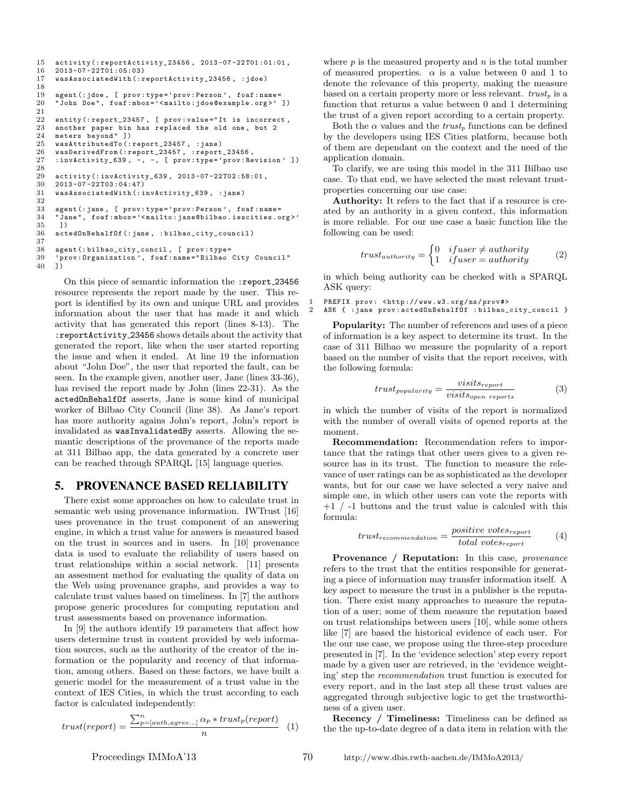```
15 activity (: reportActivity_23456, 2013-07-22T01:01:01, 16 2013-07-22T01:05:03)
      2013 - 07 - 22T01 :05:0317 wasAssociatedWith (: reportActivity_23456 , : jdoe )
\frac{18}{19}19 agent (: jdoe, [ prov: type=' prov: Person', foaf : name=<br>20 "John Doe", foaf : mbox=' < mailto: idoe@example.org >'
      "John Doe", foaf:mbox='<mailto:jdoe@example.org>' ])
\frac{21}{22}22 entity (: report_23457, [ prov: value="It is incorrect, 23 another paper bin has replaced the old one, but 2
23 another paper bin has replaced the old one, but 2<br>24 meters bevond" 1)
24 meters beyond" ])<br>25 wasAttributedTo(:
      25 wasAttributedTo (: report_23457 , : jane )
26 wasDerivedFrom (: report_23457, : report_23456,<br>27 : invActivity 639, -, -, [ prov: type=' prov: Re
      : invActivity_639, -, -, [ prov: type=' prov: Revision' ])
28
29 activity (: invActivity_639, 2013-07-22 T02:58:01, 30 2013-07-22 T02:58:01,
      2013 - 07 - 22703 :04:4731 wasAssociatedWith (: invActivity_639 , : jane )
32
33 agent (: jane, [ prov: type=' prov: Person', foaf: name=<br>34 "Jane", foaf: mbox=' < mailto: jane@bilbao. iescities.o
34 "Jane", foaf:mbox='<mailto:jane@bilbao.iescities.org>'<br>35 1)
35 ])
      actedOnBehalfOf (: jane, : bilbao_city_council)
\frac{37}{38}38 agent (: bilbao_city_concil, [ prov: type=<br>39 'prov: Organization', foaf: name="Bilbao
       ' prov : Organization ', foaf : name = " Bilbao City Council"
40 ])
```
On this piece of semantic information the :report 23456 resource represents the report made by the user. This report is identified by its own and unique URL and provides information about the user that has made it and which activity that has generated this report (lines 8-13). The :reportActivity 23456 shows details about the activity that generated the report, like when the user started reporting the issue and when it ended. At line 19 the information about "John Doe", the user that reported the fault, can be seen. In the example given, another user, Jane (lines 33-36), has revised the report made by John (lines 22-31). As the actedOnBehalfOf asserts, Jane is some kind of municipal worker of Bilbao City Council (line 38). As Jane's report has more authority agains John's report, John's report is invalidated as wasInvalidatedBy asserts. Allowing the semantic descriptions of the provenance of the reports made at 311 Bilbao app, the data generated by a concrete user can be reached through SPARQL [15] language queries.

## 5. PROVENANCE BASED RELIABILITY

There exist some approaches on how to calculate trust in semantic web using provenance information. IWTrust [16] uses provenance in the trust component of an answering engine, in which a trust value for answers is measured based on the trust in sources and in users. In [10] provenance data is used to evaluate the reliability of users based on trust relationships within a social network. [11] presents an assesment method for evaluating the quality of data on the Web using provenance graphs, and provides a way to calculate trust values based on timeliness. In [7] the authors propose generic procedures for computing reputation and trust assessments based on provenance information.

In [9] the authors identify 19 parameters that affect how users determine trust in content provided by web information sources, such as the authority of the creator of the information or the popularity and recency of that information, among others. Based on these factors, we have built a generic model for the measurement of a trust value in the context of IES Cities, in which the trust according to each factor is calculated independently:

$$
trust(report) = \frac{\sum_{p=[auth,agree...]}^n \alpha_p * trust_p(report)}{n}
$$
 (1)

where  $p$  is the measured property and  $n$  is the total number of measured properties.  $\alpha$  is a value between 0 and 1 to denote the relevance of this property, making the measure based on a certain property more or less relevant.  $trust<sub>p</sub>$  is a function that returns a value between 0 and 1 determining the trust of a given report according to a certain property.

Both the  $\alpha$  values and the *trust<sub>p</sub>* functions can be defined by the developers using IES Cities platform, because both of them are dependant on the context and the need of the application domain.

To clarify, we are using this model in the 311 Bilbao use case. To that end, we have selected the most relevant trustproperties concerning our use case:

Authority: It refers to the fact that if a resource is created by an authority in a given context, this information is more reliable. For our use case a basic function like the following can be used:

$$
trust_{authority} = \begin{cases} 0 & if user \neq authority \\ 1 & if user = authority \end{cases} \tag{2}
$$

in which being authority can be checked with a SPARQL ASK query:

```
PREFIX prov: <http://www.w3.org/ns/prov#>
2 ASK { : jane prov : actedOnBehalfOf : bilbao_city_concil }
```
Popularity: The number of references and uses of a piece of information is a key aspect to determine its trust. In the case of 311 Bilbao we measure the popularity of a report based on the number of visits that the report receives, with the following formula:

$$
trust_{popularity} = \frac{visits_{report}}{visits_{open\ reports}} \tag{3}
$$

in which the number of visits of the report is normalized with the number of overall visits of opened reports at the moment.

Recommendation: Recommendation refers to importance that the ratings that other users gives to a given resource has in its trust. The function to measure the relevance of user ratings can be as sophisticated as the developer wants, but for our case we have selected a very naive and simple one, in which other users can vote the reports with  $+1$  /  $-1$  buttons and the trust value is calculed with this formula:

$$
trust_{recommentation} = \frac{positive\ votes_{report}}{total\ votes_{report}} \tag{4}
$$

Provenance / Reputation: In this case, *provenance* refers to the trust that the entities responsible for generating a piece of information may transfer information itself. A key aspect to measure the trust in a publisher is the reputation. There exist many approaches to measure the reputation of a user; some of them measure the reputation based on trust relationships between users [10], while some others like [7] are based the historical evidence of each user. For the our use case, we propose using the three-step procedure presented in [7]. In the 'evidence selection' step every report made by a given user are retrieved, in the 'evidence weighting' step the recommendation trust function is executed for every report, and in the last step all these trust values are aggregated through subjective logic to get the trustworthiness of a given user.

Recency / Timeliness: Timeliness can be defined as the the up-to-date degree of a data item in relation with the

Proceedings IMMoA'13 70 <http://www.dbis.rwth-aachen.de/IMMoA2013/>